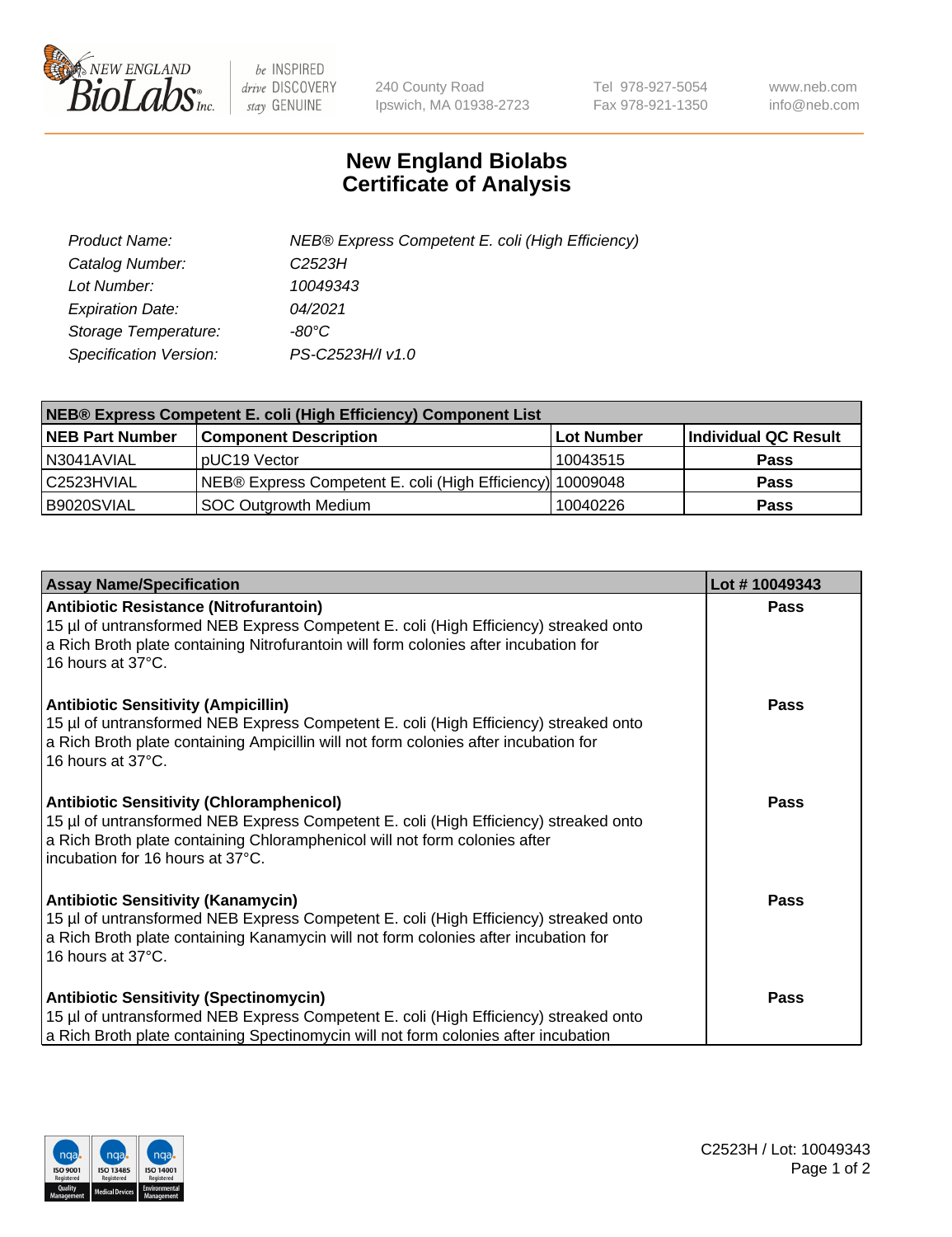

 $be$  INSPIRED drive DISCOVERY stay GENUINE

240 County Road Ipswich, MA 01938-2723 Tel 978-927-5054 Fax 978-921-1350 www.neb.com info@neb.com

## **New England Biolabs Certificate of Analysis**

| Product Name:           | NEB® Express Competent E. coli (High Efficiency) |
|-------------------------|--------------------------------------------------|
| Catalog Number:         | C <sub>2523</sub> H                              |
| Lot Number:             | 10049343                                         |
| <b>Expiration Date:</b> | 04/2021                                          |
| Storage Temperature:    | -80°C                                            |
| Specification Version:  | PS-C2523H/I v1.0                                 |

| <b>NEB® Express Competent E. coli (High Efficiency) Component List</b> |                                                           |            |                      |  |
|------------------------------------------------------------------------|-----------------------------------------------------------|------------|----------------------|--|
| <b>NEB Part Number</b>                                                 | <b>Component Description</b>                              | Lot Number | Individual QC Result |  |
| N3041AVIAL                                                             | pUC19 Vector                                              | 10043515   | <b>Pass</b>          |  |
| l C2523HVIAL                                                           | NEB® Express Competent E. coli (High Efficiency) 10009048 |            | <b>Pass</b>          |  |
| B9020SVIAL                                                             | <b>SOC Outgrowth Medium</b>                               | 10040226   | <b>Pass</b>          |  |

| <b>Assay Name/Specification</b>                                                                                                                                                                                                                           | Lot #10049343 |
|-----------------------------------------------------------------------------------------------------------------------------------------------------------------------------------------------------------------------------------------------------------|---------------|
| Antibiotic Resistance (Nitrofurantoin)<br>15 µl of untransformed NEB Express Competent E. coli (High Efficiency) streaked onto<br>a Rich Broth plate containing Nitrofurantoin will form colonies after incubation for<br>16 hours at 37°C.               | Pass          |
| <b>Antibiotic Sensitivity (Ampicillin)</b><br>15 µl of untransformed NEB Express Competent E. coli (High Efficiency) streaked onto<br>a Rich Broth plate containing Ampicillin will not form colonies after incubation for<br>16 hours at 37°C.           | Pass          |
| <b>Antibiotic Sensitivity (Chloramphenicol)</b><br>15 µl of untransformed NEB Express Competent E. coli (High Efficiency) streaked onto<br>a Rich Broth plate containing Chloramphenicol will not form colonies after<br>incubation for 16 hours at 37°C. | <b>Pass</b>   |
| <b>Antibiotic Sensitivity (Kanamycin)</b><br>15 µl of untransformed NEB Express Competent E. coli (High Efficiency) streaked onto<br>a Rich Broth plate containing Kanamycin will not form colonies after incubation for<br>16 hours at 37°C.             | Pass          |
| <b>Antibiotic Sensitivity (Spectinomycin)</b><br>15 µl of untransformed NEB Express Competent E. coli (High Efficiency) streaked onto<br>a Rich Broth plate containing Spectinomycin will not form colonies after incubation                              | Pass          |